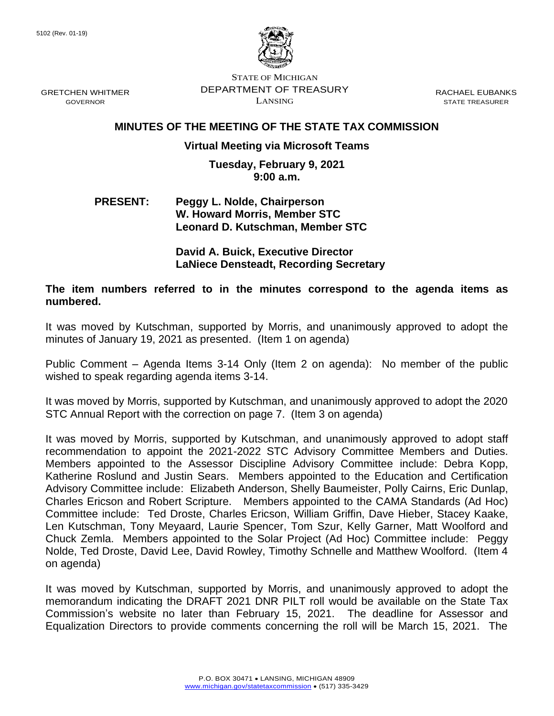

STATE OF MICHIGAN DEPARTMENT OF TREASURY LANSING

RACHAEL EUBANKS STATE TREASURER

# **MINUTES OF THE MEETING OF THE STATE TAX COMMISSION**

# **Virtual Meeting via Microsoft Teams**

### **Tuesday, February 9, 2021 9:00 a.m.**

## **PRESENT: Peggy L. Nolde, Chairperson W. Howard Morris, Member STC Leonard D. Kutschman, Member STC**

### **David A. Buick, Executive Director LaNiece Densteadt, Recording Secretary**

## **The item numbers referred to in the minutes correspond to the agenda items as numbered.**

It was moved by Kutschman, supported by Morris, and unanimously approved to adopt the minutes of January 19, 2021 as presented. (Item 1 on agenda)

Public Comment – Agenda Items 3-14 Only (Item 2 on agenda): No member of the public wished to speak regarding agenda items 3-14.

It was moved by Morris, supported by Kutschman, and unanimously approved to adopt the 2020 STC Annual Report with the correction on page 7. (Item 3 on agenda)

It was moved by Morris, supported by Kutschman, and unanimously approved to adopt staff recommendation to appoint the 2021-2022 STC Advisory Committee Members and Duties. Members appointed to the Assessor Discipline Advisory Committee include: Debra Kopp, Katherine Roslund and Justin Sears. Members appointed to the Education and Certification Advisory Committee include: Elizabeth Anderson, Shelly Baumeister, Polly Cairns, Eric Dunlap, Charles Ericson and Robert Scripture. Members appointed to the CAMA Standards (Ad Hoc) Committee include: Ted Droste, Charles Ericson, William Griffin, Dave Hieber, Stacey Kaake, Len Kutschman, Tony Meyaard, Laurie Spencer, Tom Szur, Kelly Garner, Matt Woolford and Chuck Zemla. Members appointed to the Solar Project (Ad Hoc) Committee include: Peggy Nolde, Ted Droste, David Lee, David Rowley, Timothy Schnelle and Matthew Woolford. (Item 4 on agenda)

It was moved by Kutschman, supported by Morris, and unanimously approved to adopt the memorandum indicating the DRAFT 2021 DNR PILT roll would be available on the State Tax Commission's website no later than February 15, 2021. The deadline for Assessor and Equalization Directors to provide comments concerning the roll will be March 15, 2021. The

GRETCHEN WHITMER GOVERNOR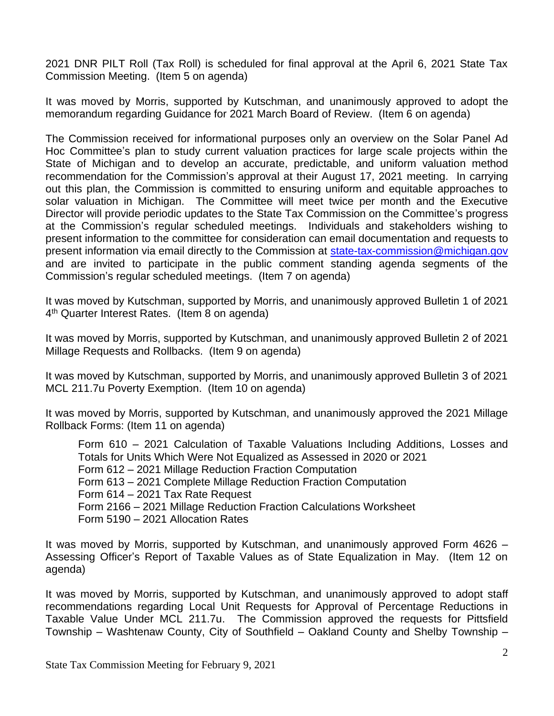2021 DNR PILT Roll (Tax Roll) is scheduled for final approval at the April 6, 2021 State Tax Commission Meeting. (Item 5 on agenda)

It was moved by Morris, supported by Kutschman, and unanimously approved to adopt the memorandum regarding Guidance for 2021 March Board of Review. (Item 6 on agenda)

The Commission received for informational purposes only an overview on the Solar Panel Ad Hoc Committee's plan to study current valuation practices for large scale projects within the State of Michigan and to develop an accurate, predictable, and uniform valuation method recommendation for the Commission's approval at their August 17, 2021 meeting. In carrying out this plan, the Commission is committed to ensuring uniform and equitable approaches to solar valuation in Michigan. The Committee will meet twice per month and the Executive Director will provide periodic updates to the State Tax Commission on the Committee's progress at the Commission's regular scheduled meetings. Individuals and stakeholders wishing to present information to the committee for consideration can email documentation and requests to present information via email directly to the Commission at [state-tax-commission@michigan.gov](mailto:state-tax-commission@michigan.gov) and are invited to participate in the public comment standing agenda segments of the Commission's regular scheduled meetings. (Item 7 on agenda)

It was moved by Kutschman, supported by Morris, and unanimously approved Bulletin 1 of 2021 4<sup>th</sup> Quarter Interest Rates. (Item 8 on agenda)

It was moved by Morris, supported by Kutschman, and unanimously approved Bulletin 2 of 2021 Millage Requests and Rollbacks. (Item 9 on agenda)

It was moved by Kutschman, supported by Morris, and unanimously approved Bulletin 3 of 2021 MCL 211.7u Poverty Exemption. (Item 10 on agenda)

It was moved by Morris, supported by Kutschman, and unanimously approved the 2021 Millage Rollback Forms: (Item 11 on agenda)

Form 610 – 2021 Calculation of Taxable Valuations Including Additions, Losses and Totals for Units Which Were Not Equalized as Assessed in 2020 or 2021 Form 612 – 2021 Millage Reduction Fraction Computation Form 613 – 2021 Complete Millage Reduction Fraction Computation Form 614 – 2021 Tax Rate Request Form 2166 – 2021 Millage Reduction Fraction Calculations Worksheet Form 5190 – 2021 Allocation Rates

It was moved by Morris, supported by Kutschman, and unanimously approved Form 4626 – Assessing Officer's Report of Taxable Values as of State Equalization in May. (Item 12 on agenda)

It was moved by Morris, supported by Kutschman, and unanimously approved to adopt staff recommendations regarding Local Unit Requests for Approval of Percentage Reductions in Taxable Value Under MCL 211.7u. The Commission approved the requests for Pittsfield Township – Washtenaw County, City of Southfield – Oakland County and Shelby Township –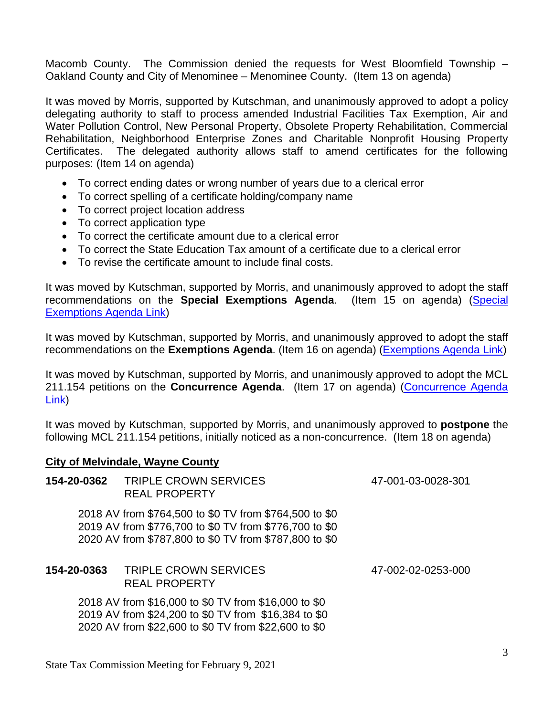Macomb County. The Commission denied the requests for West Bloomfield Township – Oakland County and City of Menominee – Menominee County. (Item 13 on agenda)

It was moved by Morris, supported by Kutschman, and unanimously approved to adopt a policy delegating authority to staff to process amended Industrial Facilities Tax Exemption, Air and Water Pollution Control, New Personal Property, Obsolete Property Rehabilitation, Commercial Rehabilitation, Neighborhood Enterprise Zones and Charitable Nonprofit Housing Property Certificates. The delegated authority allows staff to amend certificates for the following purposes: (Item 14 on agenda)

- To correct ending dates or wrong number of years due to a clerical error
- To correct spelling of a certificate holding/company name
- To correct project location address
- To correct application type
- To correct the certificate amount due to a clerical error
- To correct the State Education Tax amount of a certificate due to a clerical error
- To revise the certificate amount to include final costs.

It was moved by Kutschman, supported by Morris, and unanimously approved to adopt the staff recommendations on the **Special Exemptions Agenda**. (Item 15 on agenda) [\(Special](https://www.michigan.gov/documents/treasury/15_Exemptions_Special_Items_Agenda_715098_7.pdf)  [Exemptions Agenda Link\)](https://www.michigan.gov/documents/treasury/15_Exemptions_Special_Items_Agenda_715098_7.pdf)

It was moved by Kutschman, supported by Morris, and unanimously approved to adopt the staff recommendations on the **Exemptions Agenda**. (Item 16 on agenda) [\(Exemptions Agenda Link\)](https://www.michigan.gov/documents/treasury/16_Exemptions_Agenda_715102_7.pdf)

It was moved by Kutschman, supported by Morris, and unanimously approved to adopt the MCL 211.154 petitions on the **Concurrence Agenda**. (Item 17 on agenda) [\(Concurrence Agenda](https://www.michigan.gov/documents/treasury/17_Concurrence_Agenda_715103_7.pdf)  [Link\)](https://www.michigan.gov/documents/treasury/17_Concurrence_Agenda_715103_7.pdf)

It was moved by Kutschman, supported by Morris, and unanimously approved to **postpone** the following MCL 211.154 petitions, initially noticed as a non-concurrence. (Item 18 on agenda)

## **City of Melvindale, Wayne County**

| 154-20-0362 | <b>TRIPLE CROWN SERVICES</b><br><b>REAL PROPERTY</b>                                                                                                                       | 47-001-03-0028-301 |
|-------------|----------------------------------------------------------------------------------------------------------------------------------------------------------------------------|--------------------|
|             | 2018 AV from \$764,500 to \$0 TV from \$764,500 to \$0<br>2019 AV from \$776,700 to \$0 TV from \$776,700 to \$0<br>2020 AV from \$787,800 to \$0 TV from \$787,800 to \$0 |                    |
| 154-20-0363 | <b>TRIPLE CROWN SERVICES</b><br><b>REAL PROPERTY</b>                                                                                                                       | 47-002-02-0253-000 |
|             | 2018 AV from \$16,000 to \$0 TV from \$16,000 to \$0<br>2019 AV from \$24,200 to \$0 TV from \$16,384 to \$0<br>2020 AV from \$22,600 to \$0 TV from \$22,600 to \$0       |                    |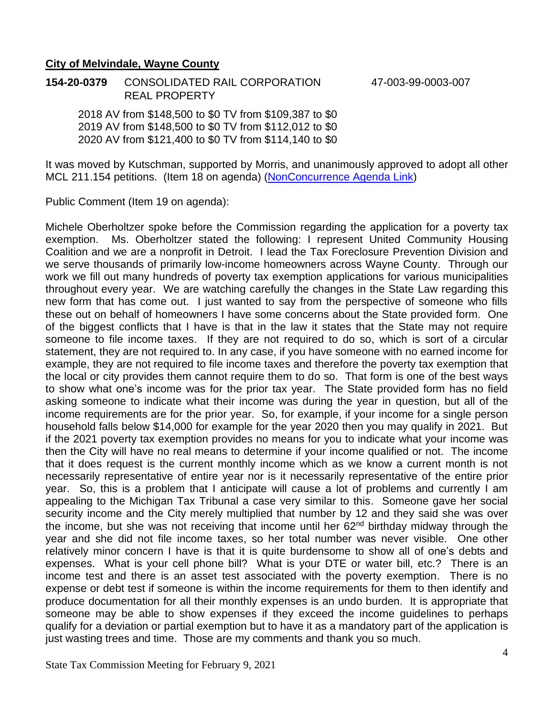### **City of Melvindale, Wayne County**

**154-20-0379** CONSOLIDATED RAIL CORPORATION 47-003-99-0003-007 REAL PROPERTY

2018 AV from \$148,500 to \$0 TV from \$109,387 to \$0 2019 AV from \$148,500 to \$0 TV from \$112,012 to \$0 2020 AV from \$121,400 to \$0 TV from \$114,140 to \$0

It was moved by Kutschman, supported by Morris, and unanimously approved to adopt all other MCL 211.154 petitions. (Item 18 on agenda) [\(NonConcurrence Agenda Link\)](https://www.michigan.gov/documents/treasury/Agenda_-_NonConcurrence_for_Minutes_717594_7.pdf)

Public Comment (Item 19 on agenda):

Michele Oberholtzer spoke before the Commission regarding the application for a poverty tax exemption. Ms. Oberholtzer stated the following: I represent United Community Housing Coalition and we are a nonprofit in Detroit. I lead the Tax Foreclosure Prevention Division and we serve thousands of primarily low-income homeowners across Wayne County. Through our work we fill out many hundreds of poverty tax exemption applications for various municipalities throughout every year. We are watching carefully the changes in the State Law regarding this new form that has come out. I just wanted to say from the perspective of someone who fills these out on behalf of homeowners I have some concerns about the State provided form. One of the biggest conflicts that I have is that in the law it states that the State may not require someone to file income taxes. If they are not required to do so, which is sort of a circular statement, they are not required to. In any case, if you have someone with no earned income for example, they are not required to file income taxes and therefore the poverty tax exemption that the local or city provides them cannot require them to do so. That form is one of the best ways to show what one's income was for the prior tax year. The State provided form has no field asking someone to indicate what their income was during the year in question, but all of the income requirements are for the prior year. So, for example, if your income for a single person household falls below \$14,000 for example for the year 2020 then you may qualify in 2021. But if the 2021 poverty tax exemption provides no means for you to indicate what your income was then the City will have no real means to determine if your income qualified or not. The income that it does request is the current monthly income which as we know a current month is not necessarily representative of entire year nor is it necessarily representative of the entire prior year. So, this is a problem that I anticipate will cause a lot of problems and currently I am appealing to the Michigan Tax Tribunal a case very similar to this. Someone gave her social security income and the City merely multiplied that number by 12 and they said she was over the income, but she was not receiving that income until her  $62<sup>nd</sup>$  birthday midway through the year and she did not file income taxes, so her total number was never visible. One other relatively minor concern I have is that it is quite burdensome to show all of one's debts and expenses. What is your cell phone bill? What is your DTE or water bill, etc.? There is an income test and there is an asset test associated with the poverty exemption. There is no expense or debt test if someone is within the income requirements for them to then identify and produce documentation for all their monthly expenses is an undo burden. It is appropriate that someone may be able to show expenses if they exceed the income guidelines to perhaps qualify for a deviation or partial exemption but to have it as a mandatory part of the application is just wasting trees and time. Those are my comments and thank you so much.